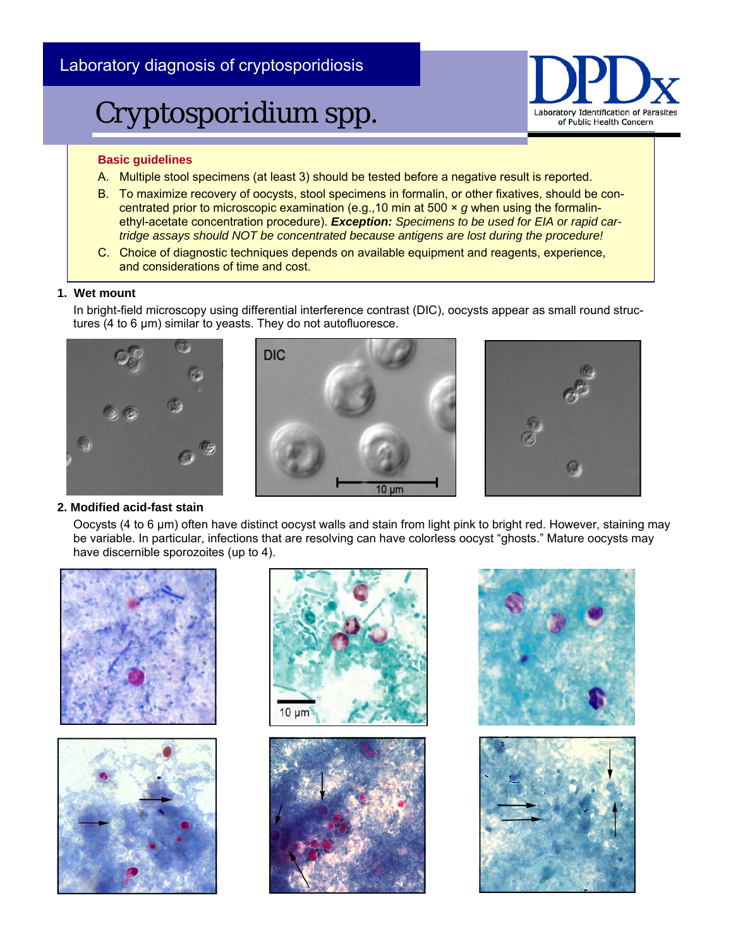### Laboratory diagnosis of cryptosporidiosis

# *Cryptosporidium* spp.



#### **Basic guidelines**

- A. Multiple stool specimens (at least 3) should be tested before a negative result is reported.
- B. To maximize recovery of oocysts, stool specimens in formalin, or other fixatives, should be concentrated prior to microscopic examination (e.g.,10 min at 500 × *g* when using the formalinethyl-acetate concentration procedure). *Exception: Specimens to be used for EIA or rapid cartridge assays should NOT be concentrated because antigens are lost during the procedure!*
- C. Choice of diagnostic techniques depends on available equipment and reagents, experience, and considerations of time and cost.

#### **1. Wet mount**

In bright-field microscopy using differential interference contrast (DIC), oocysts appear as small round structures (4 to 6 μm) similar to yeasts. They do not autofluoresce.







#### **2. Modified acid-fast stain**

Oocysts (4 to 6 μm) often have distinct oocyst walls and stain from light pink to bright red. However, staining may be variable. In particular, infections that are resolving can have colorless oocyst "ghosts." Mature oocysts may have discernible sporozoites (up to 4).